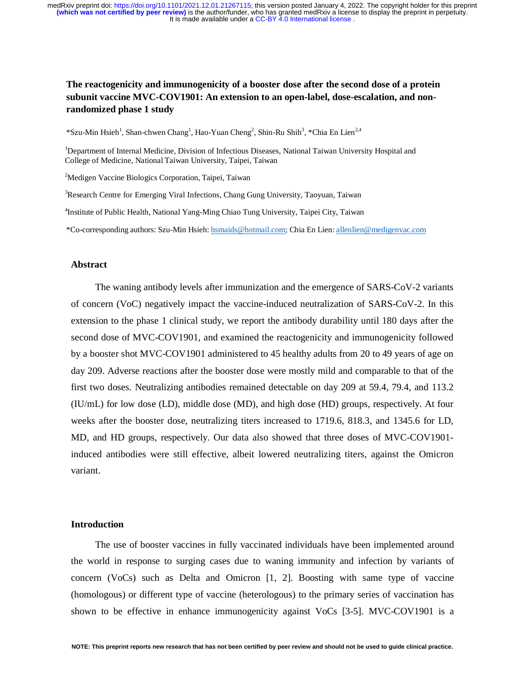# **The reactogenicity and immunogenicity of a booster dose after the second dose of a protein subunit vaccine MVC-COV1901: An extension to an open-label, dose-escalation, and nonrandomized phase 1 study**

\*Szu-Min Hsieh<sup>1</sup>, Shan-chwen Chang<sup>1</sup>, Hao-Yuan Cheng<sup>2</sup>, Shin-Ru Shih<sup>3</sup>, \*Chia En Lien<sup>2,4</sup>

<sup>1</sup>Department of Internal Medicine, Division of Infectious Diseases, National Taiwan University Hospital and College of Medicine, National Taiwan University, Taipei, Taiwan

<sup>2</sup>Medigen Vaccine Biologics Corporation, Taipei, Taiwan

<sup>3</sup>Research Centre for Emerging Viral Infections, Chang Gung University, Taoyuan, Taiwan

4 Institute of Public Health, National Yang-Ming Chiao Tung University, Taipei City, Taiwan

\*Co-corresponding authors: Szu-Min Hsieh: hsmaids@hotmail.com; Chia En Lien: allenlien@medigenvac.com

#### **Abstract**

The waning antibody levels after immunization and the emergence of SARS-CoV-2 variants of concern (VoC) negatively impact the vaccine-induced neutralization of SARS-CoV-2. In this extension to the phase 1 clinical study, we report the antibody durability until 180 days after the second dose of MVC-COV1901, and examined the reactogenicity and immunogenicity followed by a booster shot MVC-COV1901 administered to 45 healthy adults from 20 to 49 years of age on day 209. Adverse reactions after the booster dose were mostly mild and comparable to that of the first two doses. Neutralizing antibodies remained detectable on day 209 at 59.4, 79.4, and 113.2 (IU/mL) for low dose (LD), middle dose (MD), and high dose (HD) groups, respectively. At four weeks after the booster dose, neutralizing titers increased to 1719.6, 818.3, and 1345.6 for LD, MD, and HD groups, respectively. Our data also showed that three doses of MVC-COV1901 induced antibodies were still effective, albeit lowered neutralizing titers, against the Omicron variant.

### **Introduction**

The use of booster vaccines in fully vaccinated individuals have been implemented around the world in response to surging cases due to waning immunity and infection by variants of concern (VoCs) such as Delta and Omicron [1, 2]. Boosting with same type of vaccine (homologous) or different type of vaccine (heterologous) to the primary series of vaccination has shown to be effective in enhance immunogenicity against VoCs [3-5]. MVC-COV1901 is a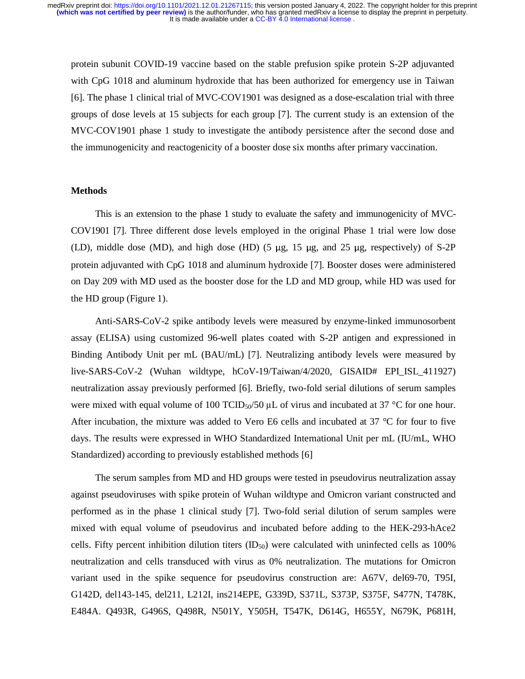protein subunit COVID-19 vaccine based on the stable prefusion spike protein S-2P adjuvanted with CpG 1018 and aluminum hydroxide that has been authorized for emergency use in Taiwan [6]. The phase 1 clinical trial of MVC-COV1901 was designed as a dose-escalation trial with three groups of dose levels at 15 subjects for each group [7]. The current study is an extension of the MVC-COV1901 phase 1 study to investigate the antibody persistence after the second dose and the immunogenicity and reactogenicity of a booster dose six months after primary vaccination.

#### **Methods**

This is an extension to the phase 1 study to evaluate the safety and immunogenicity of MVC-COV1901 [7]. Three different dose levels employed in the original Phase 1 trial were low dose (LD), middle dose (MD), and high dose (HD) (5 μg, 15 μg, and 25 μg, respectively) of S-2P protein adjuvanted with CpG 1018 and aluminum hydroxide [7]. Booster doses were administered on Day 209 with MD used as the booster dose for the LD and MD group, while HD was used for the HD group (Figure 1).

Anti-SARS-CoV-2 spike antibody levels were measured by enzyme-linked immunosorbent assay (ELISA) using customized 96-well plates coated with S-2P antigen and expressioned in Binding Antibody Unit per mL (BAU/mL) [7]. Neutralizing antibody levels were measured by live-SARS-CoV-2 (Wuhan wildtype, hCoV-19/Taiwan/4/2020, GISAID# EPI\_ISL\_411927) neutralization assay previously performed [6]. Briefly, two-fold serial dilutions of serum samples were mixed with equal volume of 100 TCID<sub>50</sub>/50  $\mu$ L of virus and incubated at 37 °C for one hour. After incubation, the mixture was added to Vero E6 cells and incubated at 37 °C for four to five days. The results were expressed in WHO Standardized International Unit per mL (IU/mL, WHO Standardized) according to previously established methods [6]

The serum samples from MD and HD groups were tested in pseudovirus neutralization assay against pseudoviruses with spike protein of Wuhan wildtype and Omicron variant constructed and performed as in the phase 1 clinical study [7]. Two-fold serial dilution of serum samples were mixed with equal volume of pseudovirus and incubated before adding to the HEK-293-hAce2 cells. Fifty percent inhibition dilution titers  $(ID<sub>50</sub>)$  were calculated with uninfected cells as 100% neutralization and cells transduced with virus as 0% neutralization. The mutations for Omicron variant used in the spike sequence for pseudovirus construction are: A67V, del69-70, T95I, G142D, del143-145, del211, L212I, ins214EPE, G339D, S371L, S373P, S375F, S477N, T478K, E484A. Q493R, G496S, Q498R, N501Y, Y505H, T547K, D614G, H655Y, N679K, P681H,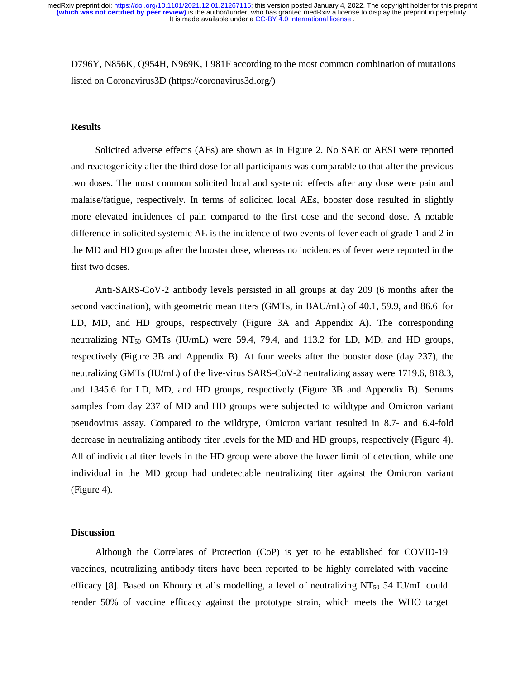D796Y, N856K, Q954H, N969K, L981F according to the most common combination of mutations listed on Coronavirus3D (https://coronavirus3d.org/)

### **Results**

Solicited adverse effects (AEs) are shown as in Figure 2. No SAE or AESI were reported and reactogenicity after the third dose for all participants was comparable to that after the previous two doses. The most common solicited local and systemic effects after any dose were pain and malaise/fatigue, respectively. In terms of solicited local AEs, booster dose resulted in slightly more elevated incidences of pain compared to the first dose and the second dose. A notable difference in solicited systemic AE is the incidence of two events of fever each of grade 1 and 2 in the MD and HD groups after the booster dose, whereas no incidences of fever were reported in the first two doses.

Anti-SARS-CoV-2 antibody levels persisted in all groups at day 209 (6 months after the second vaccination), with geometric mean titers (GMTs, in BAU/mL) of 40.1, 59.9, and 86.6 for LD, MD, and HD groups, respectively (Figure 3A and Appendix A). The corresponding neutralizing  $NT_{50}$  GMTs (IU/mL) were 59.4, 79.4, and 113.2 for LD, MD, and HD groups, respectively (Figure 3B and Appendix B). At four weeks after the booster dose (day 237), the neutralizing GMTs (IU/mL) of the live-virus SARS-CoV-2 neutralizing assay were 1719.6, 818.3, and 1345.6 for LD, MD, and HD groups, respectively (Figure 3B and Appendix B). Serums samples from day 237 of MD and HD groups were subjected to wildtype and Omicron variant pseudovirus assay. Compared to the wildtype, Omicron variant resulted in 8.7- and 6.4-fold decrease in neutralizing antibody titer levels for the MD and HD groups, respectively (Figure 4). All of individual titer levels in the HD group were above the lower limit of detection, while one individual in the MD group had undetectable neutralizing titer against the Omicron variant (Figure 4).

### **Discussion**

Although the Correlates of Protection (CoP) is yet to be established for COVID-19 vaccines, neutralizing antibody titers have been reported to be highly correlated with vaccine efficacy [8]. Based on Khoury et al's modelling, a level of neutralizing  $NT_{50}$  54 IU/mL could render 50% of vaccine efficacy against the prototype strain, which meets the WHO target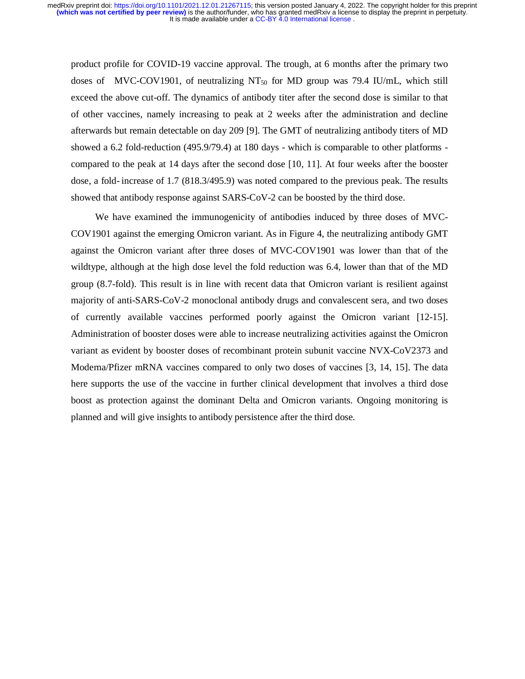product profile for COVID-19 vaccine approval. The trough, at 6 months after the primary two doses of MVC-COV1901, of neutralizing  $NT_{50}$  for MD group was 79.4 IU/mL, which still exceed the above cut-off. The dynamics of antibody titer after the second dose is similar to that of other vaccines, namely increasing to peak at 2 weeks after the administration and decline afterwards but remain detectable on day 209 [9]. The GMT of neutralizing antibody titers of MD showed a 6.2 fold-reduction (495.9/79.4) at 180 days - which is comparable to other platforms compared to the peak at 14 days after the second dose [10, 11]. At four weeks after the booster dose, a fold- increase of 1.7 (818.3/495.9) was noted compared to the previous peak. The results showed that antibody response against SARS-CoV-2 can be boosted by the third dose.

We have examined the immunogenicity of antibodies induced by three doses of MVC-COV1901 against the emerging Omicron variant. As in Figure 4, the neutralizing antibody GMT against the Omicron variant after three doses of MVC-COV1901 was lower than that of the wildtype, although at the high dose level the fold reduction was 6.4, lower than that of the MD group (8.7-fold). This result is in line with recent data that Omicron variant is resilient against majority of anti-SARS-CoV-2 monoclonal antibody drugs and convalescent sera, and two doses of currently available vaccines performed poorly against the Omicron variant [12-15]. Administration of booster doses were able to increase neutralizing activities against the Omicron variant as evident by booster doses of recombinant protein subunit vaccine NVX-CoV2373 and Moderna/Pfizer mRNA vaccines compared to only two doses of vaccines [3, 14, 15]. The data here supports the use of the vaccine in further clinical development that involves a third dose boost as protection against the dominant Delta and Omicron variants. Ongoing monitoring is planned and will give insights to antibody persistence after the third dose.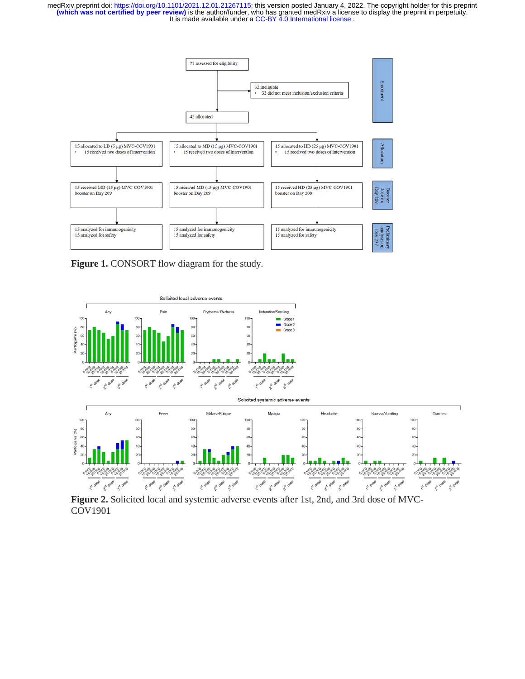

Figure 1. CONSORT flow diagram for the study.



**Figure 2.** Solicited local and systemic adverse events after 1st, 2nd, and 3rd dose of MVC-COV1901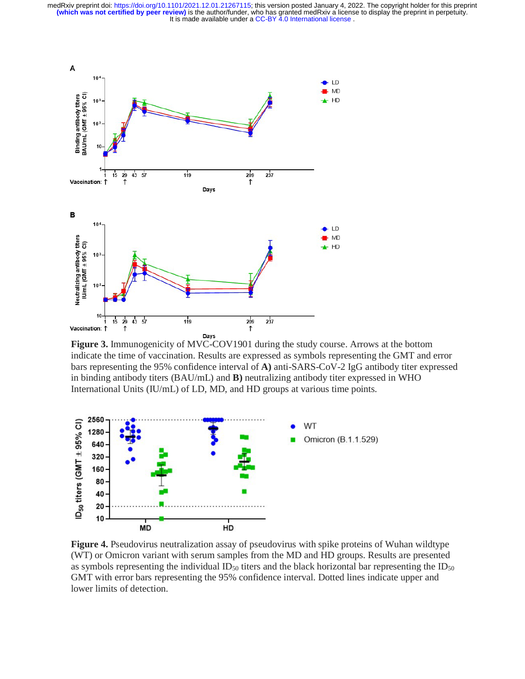It is made available under a CC-BY 4.0 International license. **(which was not certified by peer review)** is the author/funder, who has granted medRxiv a license to display the preprint in perpetuity. medRxiv preprint doi: [https://doi.org/10.1101/2021.12.01.21267115;](https://doi.org/10.1101/2021.12.01.21267115) this version posted January 4, 2022. The copyright holder for this preprint



**Figure 3.** Immunogenicity of MVC-COV1901 during the study course. Arrows at the bottom indicate the time of vaccination. Results are expressed as symbols representing the GMT and error bars representing the 95% confidence interval of **A)** anti-SARS-CoV-2 IgG antibody titer expressed in binding antibody titers (BAU/mL) and **B)** neutralizing antibody titer expressed in WHO International Units (IU/mL) of LD, MD, and HD groups at various time points.



**Figure 4.** Pseudovirus neutralization assay of pseudovirus with spike proteins of Wuhan wildtype (WT) or Omicron variant with serum samples from the MD and HD groups. Results are presented as symbols representing the individual  $ID_{50}$  titers and the black horizontal bar representing the  $ID_{50}$ GMT with error bars representing the 95% confidence interval. Dotted lines indicate upper and lower limits of detection.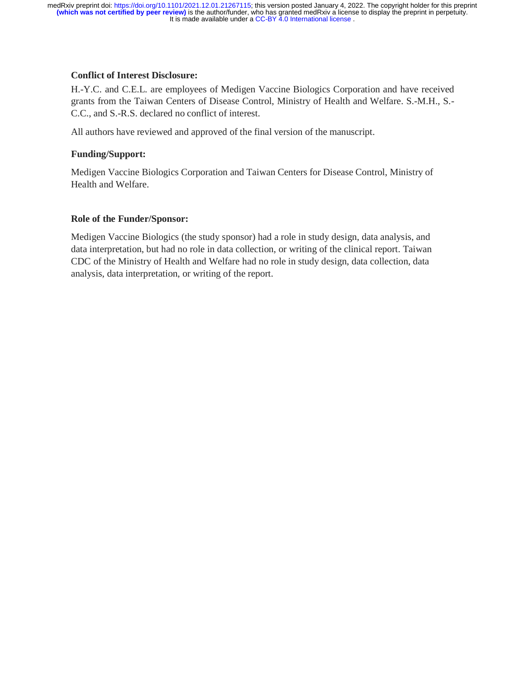## **Conflict of Interest Disclosure:**

H.-Y.C. and C.E.L. are employees of Medigen Vaccine Biologics Corporation and have received grants from the Taiwan Centers of Disease Control, Ministry of Health and Welfare. S.-M.H., S.- C.C., and S.-R.S. declared no conflict of interest.

All authors have reviewed and approved of the final version of the manuscript.

# **Funding/Support:**

Medigen Vaccine Biologics Corporation and Taiwan Centers for Disease Control, Ministry of Health and Welfare.

# **Role of the Funder/Sponsor:**

Medigen Vaccine Biologics (the study sponsor) had a role in study design, data analysis, and data interpretation, but had no role in data collection, or writing of the clinical report. Taiwan CDC of the Ministry of Health and Welfare had no role in study design, data collection, data analysis, data interpretation, or writing of the report.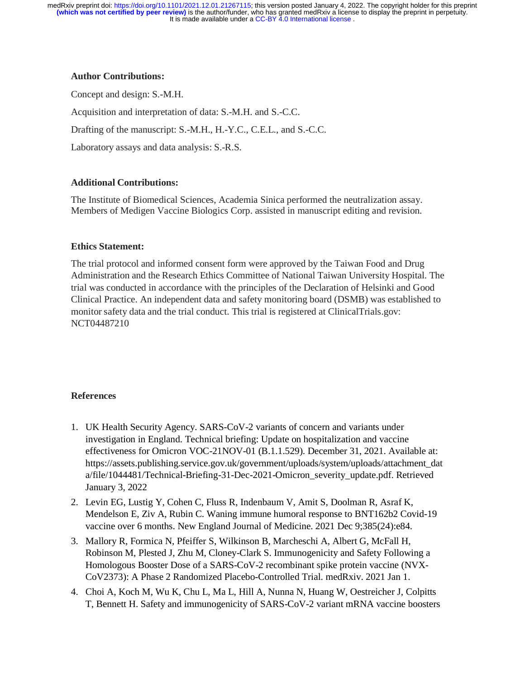### **Author Contributions:**

Concept and design: S.-M.H. Acquisition and interpretation of data: S.-M.H. and S.-C.C. Drafting of the manuscript: S.-M.H., H.-Y.C., C.E.L., and S.-C.C. Laboratory assays and data analysis: S.-R.S.

## **Additional Contributions:**

The Institute of Biomedical Sciences, Academia Sinica performed the neutralization assay. Members of Medigen Vaccine Biologics Corp. assisted in manuscript editing and revision.

## **Ethics Statement:**

The trial protocol and informed consent form were approved by the Taiwan Food and Drug Administration and the Research Ethics Committee of National Taiwan University Hospital. The trial was conducted in accordance with the principles of the Declaration of Helsinki and Good Clinical Practice. An independent data and safety monitoring board (DSMB) was established to monitor safety data and the trial conduct. This trial is registered at ClinicalTrials.gov: NCT04487210

## **References**

- 1. UK Health Security Agency. SARS-CoV-2 variants of concern and variants under investigation in England. Technical briefing: Update on hospitalization and vaccine effectiveness for Omicron VOC-21NOV-01 (B.1.1.529). December 31, 2021. Available at: https://assets.publishing.service.gov.uk/government/uploads/system/uploads/attachment\_dat a/file/1044481/Technical-Briefing-31-Dec-2021-Omicron\_severity\_update.pdf. Retrieved January 3, 2022
- 2. Levin EG, Lustig Y, Cohen C, Fluss R, Indenbaum V, Amit S, Doolman R, Asraf K, Mendelson E, Ziv A, Rubin C. Waning immune humoral response to BNT162b2 Covid-19 vaccine over 6 months. New England Journal of Medicine. 2021 Dec 9;385(24):e84.
- 3. Mallory R, Formica N, Pfeiffer S, Wilkinson B, Marcheschi A, Albert G, McFall H, Robinson M, Plested J, Zhu M, Cloney-Clark S. Immunogenicity and Safety Following a Homologous Booster Dose of a SARS-CoV-2 recombinant spike protein vaccine (NVX-CoV2373): A Phase 2 Randomized Placebo-Controlled Trial. medRxiv. 2021 Jan 1.
- 4. Choi A, Koch M, Wu K, Chu L, Ma L, Hill A, Nunna N, Huang W, Oestreicher J, Colpitts T, Bennett H. Safety and immunogenicity of SARS-CoV-2 variant mRNA vaccine boosters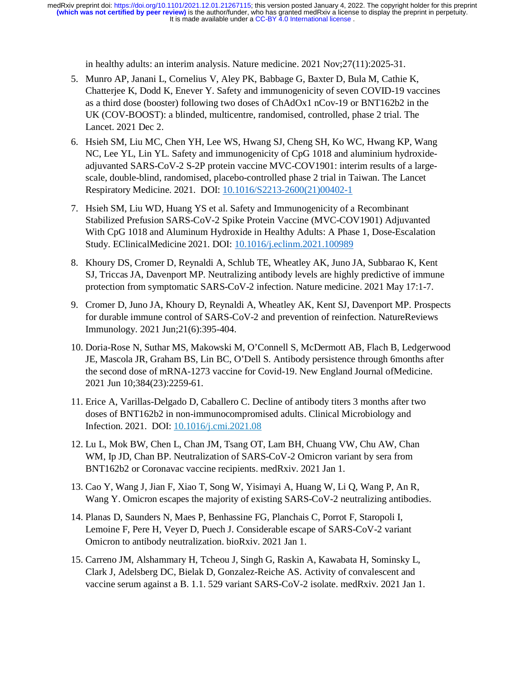in healthy adults: an interim analysis. Nature medicine. 2021 Nov;27(11):2025-31.

- 5. Munro AP, Janani L, Cornelius V, Aley PK, Babbage G, Baxter D, Bula M, Cathie K, Chatterjee K, Dodd K, Enever Y. Safety and immunogenicity of seven COVID-19 vaccines as a third dose (booster) following two doses of ChAdOx1 nCov-19 or BNT162b2 in the UK (COV-BOOST): a blinded, multicentre, randomised, controlled, phase 2 trial. The Lancet. 2021 Dec 2.
- 6. Hsieh SM, Liu MC, Chen YH, Lee WS, Hwang SJ, Cheng SH, Ko WC, Hwang KP, Wang NC, Lee YL, Lin YL. Safety and immunogenicity of CpG 1018 and aluminium hydroxideadjuvanted SARS-CoV-2 S-2P protein vaccine MVC-COV1901: interim results of a largescale, double-blind, randomised, placebo-controlled phase 2 trial in Taiwan. The Lancet Respiratory Medicine. 2021. DOI: 10.1016/S2213-2600(21)00402-1
- 7. Hsieh SM, Liu WD, Huang YS et al. Safety and Immunogenicity of a Recombinant Stabilized Prefusion SARS-CoV-2 Spike Protein Vaccine (MVC-COV1901) Adjuvanted With CpG 1018 and Aluminum Hydroxide in Healthy Adults: A Phase 1, Dose-Escalation Study. EClinicalMedicine 2021. DOI: 10.1016/j.eclinm.2021.100989
- 8. Khoury DS, Cromer D, Reynaldi A, Schlub TE, Wheatley AK, Juno JA, Subbarao K, Kent SJ, Triccas JA, Davenport MP. Neutralizing antibody levels are highly predictive of immune protection from symptomatic SARS-CoV-2 infection. Nature medicine. 2021 May 17:1-7.
- 9. Cromer D, Juno JA, Khoury D, Reynaldi A, Wheatley AK, Kent SJ, Davenport MP. Prospects for durable immune control of SARS-CoV-2 and prevention of reinfection. Nature Reviews Immunology. 2021 Jun;21(6):395-404.
- 10. Doria-Rose N, Suthar MS, Makowski M, O'Connell S, McDermott AB, Flach B, Ledgerwood JE, Mascola JR, Graham BS, Lin BC, O'Dell S. Antibody persistence through 6 months after the second dose of mRNA-1273 vaccine for Covid-19. New England Journal of Medicine. 2021 Jun 10;384(23):2259-61.
- 11. Erice A, Varillas-Delgado D, Caballero C. Decline of antibody titers 3 months after two doses of BNT162b2 in non-immunocompromised adults. Clinical Microbiology and Infection. 2021. DOI: 10.1016/j.cmi.2021.08
- 12. Lu L, Mok BW, Chen L, Chan JM, Tsang OT, Lam BH, Chuang VW, Chu AW, Chan WM, Ip JD, Chan BP. Neutralization of SARS-CoV-2 Omicron variant by sera from BNT162b2 or Coronavac vaccine recipients. medRxiv. 2021 Jan 1.
- 13. Cao Y, Wang J, Jian F, Xiao T, Song W, Yisimayi A, Huang W, Li Q, Wang P, An R, Wang Y. Omicron escapes the majority of existing SARS-CoV-2 neutralizing antibodies.
- 14. Planas D, Saunders N, Maes P, Benhassine FG, Planchais C, Porrot F, Staropoli I, Lemoine F, Pere H, Veyer D, Puech J. Considerable escape of SARS-CoV-2 variant Omicron to antibody neutralization. bioRxiv. 2021 Jan 1.
- 15. Carreno JM, Alshammary H, Tcheou J, Singh G, Raskin A, Kawabata H, Sominsky L, Clark J, Adelsberg DC, Bielak D, Gonzalez-Reiche AS. Activity of convalescent and vaccine serum against a B. 1.1. 529 variant SARS-CoV-2 isolate. medRxiv. 2021 Jan 1.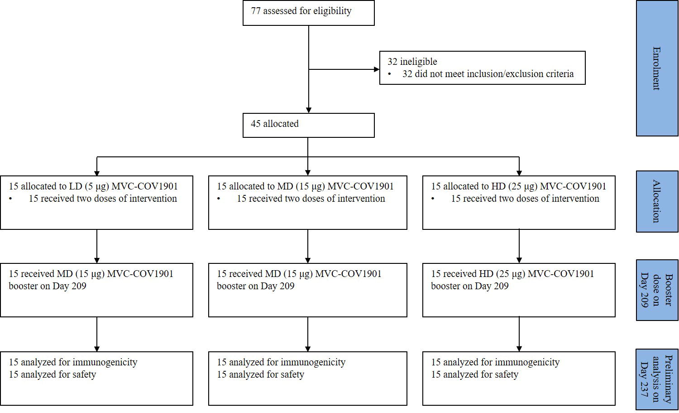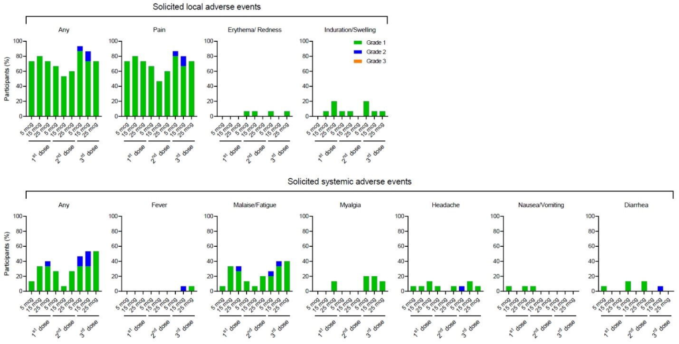

Solicited local adverse events

Solicited systemic adverse events

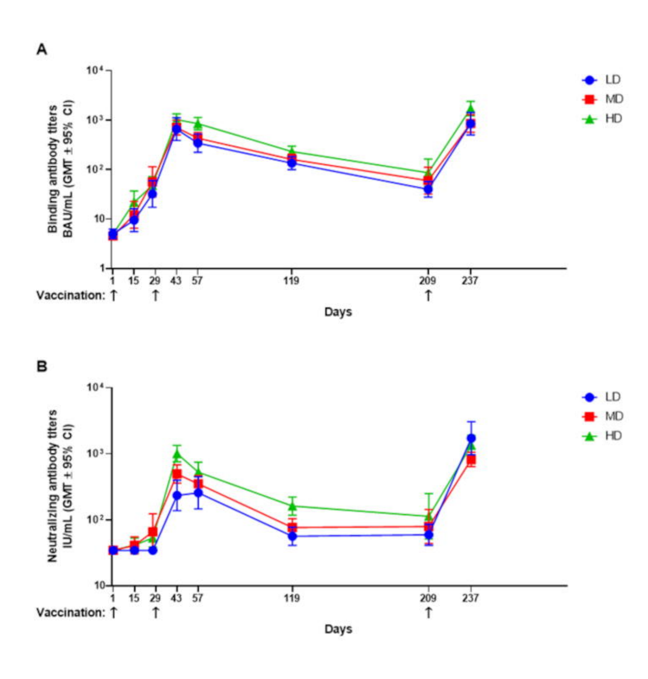